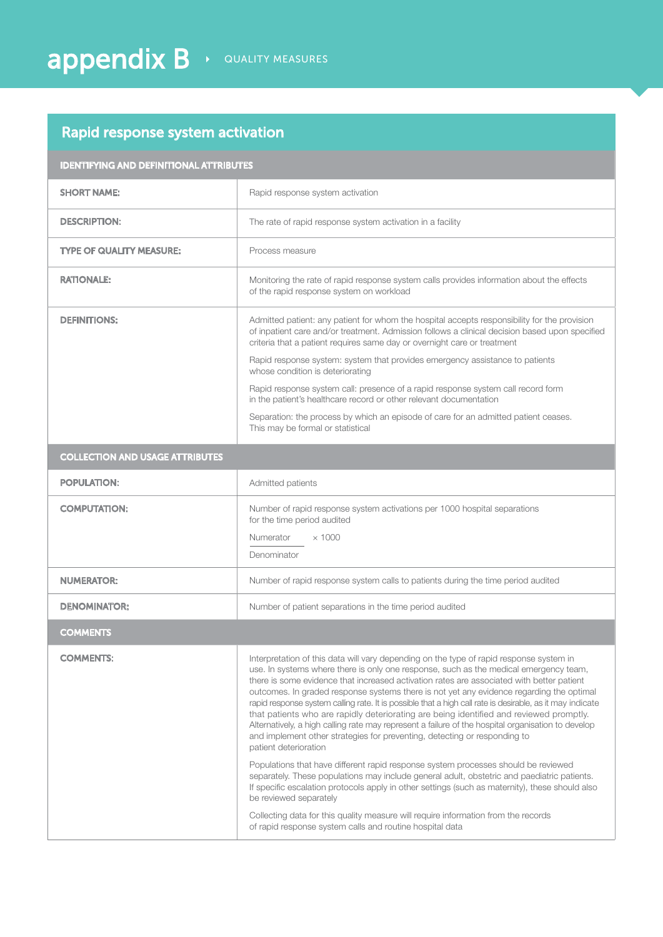## Rapid response system activation

| <b>IDENTIFYING AND DEFINITIONAL ATTRIBUTES</b> |                                                                                                                                                                                                                                                                                                                                                                                                                                                                                                                                                                                                                                                                                                                                                                                                                                                                                                                                                                                                                                                                                                                                                                                                                                                                   |
|------------------------------------------------|-------------------------------------------------------------------------------------------------------------------------------------------------------------------------------------------------------------------------------------------------------------------------------------------------------------------------------------------------------------------------------------------------------------------------------------------------------------------------------------------------------------------------------------------------------------------------------------------------------------------------------------------------------------------------------------------------------------------------------------------------------------------------------------------------------------------------------------------------------------------------------------------------------------------------------------------------------------------------------------------------------------------------------------------------------------------------------------------------------------------------------------------------------------------------------------------------------------------------------------------------------------------|
| <b>SHORT NAME:</b>                             | Rapid response system activation                                                                                                                                                                                                                                                                                                                                                                                                                                                                                                                                                                                                                                                                                                                                                                                                                                                                                                                                                                                                                                                                                                                                                                                                                                  |
| <b>DESCRIPTION:</b>                            | The rate of rapid response system activation in a facility                                                                                                                                                                                                                                                                                                                                                                                                                                                                                                                                                                                                                                                                                                                                                                                                                                                                                                                                                                                                                                                                                                                                                                                                        |
| <b>TYPE OF QUALITY MEASURE:</b>                | Process measure                                                                                                                                                                                                                                                                                                                                                                                                                                                                                                                                                                                                                                                                                                                                                                                                                                                                                                                                                                                                                                                                                                                                                                                                                                                   |
| <b>RATIONALE:</b>                              | Monitoring the rate of rapid response system calls provides information about the effects<br>of the rapid response system on workload                                                                                                                                                                                                                                                                                                                                                                                                                                                                                                                                                                                                                                                                                                                                                                                                                                                                                                                                                                                                                                                                                                                             |
| <b>DEFINITIONS:</b>                            | Admitted patient: any patient for whom the hospital accepts responsibility for the provision<br>of inpatient care and/or treatment. Admission follows a clinical decision based upon specified<br>criteria that a patient requires same day or overnight care or treatment                                                                                                                                                                                                                                                                                                                                                                                                                                                                                                                                                                                                                                                                                                                                                                                                                                                                                                                                                                                        |
|                                                | Rapid response system: system that provides emergency assistance to patients<br>whose condition is deteriorating                                                                                                                                                                                                                                                                                                                                                                                                                                                                                                                                                                                                                                                                                                                                                                                                                                                                                                                                                                                                                                                                                                                                                  |
|                                                | Rapid response system call: presence of a rapid response system call record form<br>in the patient's healthcare record or other relevant documentation                                                                                                                                                                                                                                                                                                                                                                                                                                                                                                                                                                                                                                                                                                                                                                                                                                                                                                                                                                                                                                                                                                            |
|                                                | Separation: the process by which an episode of care for an admitted patient ceases.<br>This may be formal or statistical                                                                                                                                                                                                                                                                                                                                                                                                                                                                                                                                                                                                                                                                                                                                                                                                                                                                                                                                                                                                                                                                                                                                          |
| <b>COLLECTION AND USAGE ATTRIBUTES</b>         |                                                                                                                                                                                                                                                                                                                                                                                                                                                                                                                                                                                                                                                                                                                                                                                                                                                                                                                                                                                                                                                                                                                                                                                                                                                                   |
| <b>POPULATION:</b>                             | Admitted patients                                                                                                                                                                                                                                                                                                                                                                                                                                                                                                                                                                                                                                                                                                                                                                                                                                                                                                                                                                                                                                                                                                                                                                                                                                                 |
| <b>COMPUTATION:</b>                            | Number of rapid response system activations per 1000 hospital separations<br>for the time period audited                                                                                                                                                                                                                                                                                                                                                                                                                                                                                                                                                                                                                                                                                                                                                                                                                                                                                                                                                                                                                                                                                                                                                          |
|                                                | $\times$ 1000<br>Numerator                                                                                                                                                                                                                                                                                                                                                                                                                                                                                                                                                                                                                                                                                                                                                                                                                                                                                                                                                                                                                                                                                                                                                                                                                                        |
|                                                | Denominator                                                                                                                                                                                                                                                                                                                                                                                                                                                                                                                                                                                                                                                                                                                                                                                                                                                                                                                                                                                                                                                                                                                                                                                                                                                       |
| <b>NUMERATOR:</b>                              | Number of rapid response system calls to patients during the time period audited                                                                                                                                                                                                                                                                                                                                                                                                                                                                                                                                                                                                                                                                                                                                                                                                                                                                                                                                                                                                                                                                                                                                                                                  |
| <b>DENOMINATOR:</b>                            | Number of patient separations in the time period audited                                                                                                                                                                                                                                                                                                                                                                                                                                                                                                                                                                                                                                                                                                                                                                                                                                                                                                                                                                                                                                                                                                                                                                                                          |
| <b>COMMENTS</b>                                |                                                                                                                                                                                                                                                                                                                                                                                                                                                                                                                                                                                                                                                                                                                                                                                                                                                                                                                                                                                                                                                                                                                                                                                                                                                                   |
| <b>COMMENTS:</b>                               | Interpretation of this data will vary depending on the type of rapid response system in<br>use. In systems where there is only one response, such as the medical emergency team,<br>there is some evidence that increased activation rates are associated with better patient<br>outcomes. In graded response systems there is not yet any evidence regarding the optimal<br>rapid response system calling rate. It is possible that a high call rate is desirable, as it may indicate<br>that patients who are rapidly deteriorating are being identified and reviewed promptly.<br>Alternatively, a high calling rate may represent a failure of the hospital organisation to develop<br>and implement other strategies for preventing, detecting or responding to<br>patient deterioration<br>Populations that have different rapid response system processes should be reviewed<br>separately. These populations may include general adult, obstetric and paediatric patients.<br>If specific escalation protocols apply in other settings (such as maternity), these should also<br>be reviewed separately<br>Collecting data for this quality measure will require information from the records<br>of rapid response system calls and routine hospital data |